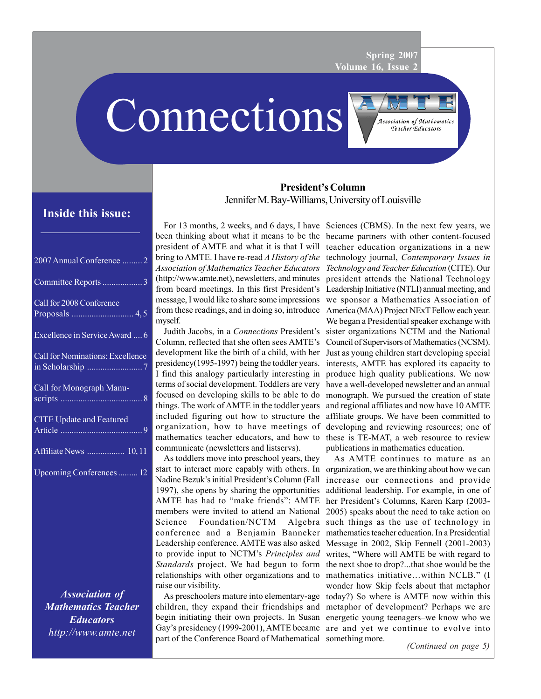**Spring 2007 Volume 16, Issue 2**

Connections



# **Inside this issue:**

| 2007 Annual Conference  2        |
|----------------------------------|
| Committee Reports 3              |
| Call for 2008 Conference         |
| Excellence in Service Award  6   |
| Call for Nominations: Excellence |
| Call for Monograph Manu-         |
| <b>CITE Update and Featured</b>  |
| Affiliate News  10, 11           |
| Upcoming Conferences 12          |
|                                  |
|                                  |

*Association of Mathematics Teacher Educators http://www.amte.net*

# **President's Column** Jennifer M. Bay-Williams, University of Louisville

For 13 months, 2 weeks, and 6 days, I have Sciences (CBMS). In the next few years, we (http://www.amte.net), newsletters, and minutes myself.

Column, reflected that she often sees AMTE's presidency(1995-1997) being the toddler years. terms of social development. Toddlers are very communicate (newsletters and listservs).

As toddlers move into preschool years, they Nadine Bezuk's initial President's Column (Fall 1997), she opens by sharing the opportunities AMTE has had to "make friends": AMTE Science Foundation/NCTM raise our visibility.

part of the Conference Board of Mathematical something more.

been thinking about what it means to be the became partners with other content-focused president of AMTE and what it is that I will teacher education organizations in a new bring to AMTE. I have re-read *A History of the* technology journal, *Contemporary Issues in Association of Mathematics Teacher Educators Technology and Teacher Education* (CITE). Our from board meetings. In this first President's Leadership Initiative (NTLI) annual meeting, and message, I would like to share some impressions we sponsor a Mathematics Association of from these readings, and in doing so, introduce America (MAA) Project NExT Fellow each year. Judith Jacobs, in a *Connections* President's sister organizations NCTM and the National development like the birth of a child, with her Just as young children start developing special I find this analogy particularly interesting in produce high quality publications. We now focused on developing skills to be able to do monograph. We pursued the creation of state things. The work of AMTE in the toddler years and regional affiliates and now have 10 AMTE included figuring out how to structure the affiliate groups. We have been committed to organization, how to have meetings of developing and reviewing resources; one of mathematics teacher educators, and how to these is TE-MAT, a web resource to review president attends the National Technology We began a Presidential speaker exchange with Council of Supervisors of Mathematics (NCSM). interests, AMTE has explored its capacity to have a well-developed newsletter and an annual publications in mathematics education.

start to interact more capably with others. In organization, we are thinking about how we can members were invited to attend an National 2005) speaks about the need to take action on conference and a Benjamin Banneker mathematics teacher education. In a Presidential Leadership conference. AMTE was also asked Message in 2002, Skip Fennell (2001-2003) to provide input to NCTM's *Principles and* writes, "Where will AMTE be with regard to Standards project. We had begun to form the next shoe to drop?...that shoe would be the relationships with other organizations and to mathematics initiative…within NCLB." (I As preschoolers mature into elementary-age today?) So where is AMTE now within this children, they expand their friendships and metaphor of development? Perhaps we are begin initiating their own projects. In Susan energetic young teenagers–we know who we Gay's presidency (1999-2001), AMTE became are and yet we continue to evolve into As AMTE continues to mature as an increase our connections and provide additional leadership. For example, in one of her President's Columns, Karen Karp (2003- Algebra such things as the use of technology in wonder how Skip feels about that metaphor

*(Continued on page 5)*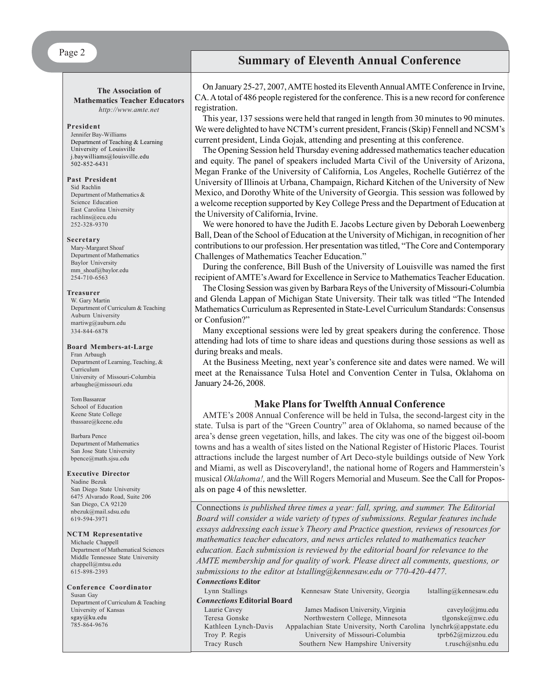## Page 2

#### **The Association of Mathematics Teacher Educators**

*http://www.amte.net*

#### **President**

Jennifer Bay-Williams Department of Teaching & Learning University of Louisville j.baywilliams@louisville.edu 502-852-6431

#### **Past President**

Sid Rachlin Department of Mathematics & Science Education East Carolina University rachlins@ecu.edu 252-328-9370

#### **Secretary**

Mary-Margaret Shoaf Department of Mathematics Baylor University mm\_shoaf@baylor.edu 254-710-6563

#### **Treasurer**

W. Gary Martin Department of Curriculum & Teaching Auburn University martiwg@auburn.edu 334-844-6878

#### **Board Members-at-Large**

Fran Arbaugh Department of Learning, Teaching, & Curriculum University of Missouri-Columbia arbaughe@missouri.edu

Tom Bassarear School of Education Keene State College tbassare@keene.edu

#### Barbara Pence Department of Mathematics San Jose State University bpence@math.sjsu.edu

#### **Executive Director**

Nadine Bezuk San Diego State University 6475 Alvarado Road, Suite 206 San Diego, CA 92120 nbezuk@mail.sdsu.edu 619-594-3971

#### **NCTM Representative**

Michaele Chappell Department of Mathematical Sciences Middle Tennessee State University chappell@mtsu.edu 615-898-2393

#### **Conference Coordinator** Susan Gay Department of Curriculum & Teaching University of Kansas sgay@ku.edu

785-864-9676

**Summary of Eleventh Annual Conference**

On January 25-27, 2007, AMTE hosted its Eleventh Annual AMTE Conference in Irvine, CA. A total of 486 people registered for the conference. This is a new record for conference registration.

This year, 137 sessions were held that ranged in length from 30 minutes to 90 minutes. We were delighted to have NCTM's current president, Francis (Skip) Fennell and NCSM's current president, Linda Gojak, attending and presenting at this conference.

The Opening Session held Thursday evening addressed mathematics teacher education and equity. The panel of speakers included Marta Civil of the University of Arizona, Megan Franke of the University of California, Los Angeles, Rochelle Gutiérrez of the University of Illinois at Urbana, Champaign, Richard Kitchen of the University of New Mexico, and Dorothy White of the University of Georgia. This session was followed by a welcome reception supported by Key College Press and the Department of Education at the University of California, Irvine.

We were honored to have the Judith E. Jacobs Lecture given by Deborah Loewenberg Ball, Dean of the School of Education at the University of Michigan, in recognition of her contributions to our profession. Her presentation was titled, "The Core and Contemporary Challenges of Mathematics Teacher Education."

During the conference, Bill Bush of the University of Louisville was named the first recipient of AMTE's Award for Excellence in Service to Mathematics Teacher Education.

The Closing Session was given by Barbara Reys of the University of Missouri-Columbia and Glenda Lappan of Michigan State University. Their talk was titled "The Intended Mathematics Curriculum as Represented in State-Level Curriculum Standards: Consensus or Confusion?"

Many exceptional sessions were led by great speakers during the conference. Those attending had lots of time to share ideas and questions during those sessions as well as during breaks and meals.

At the Business Meeting, next year's conference site and dates were named. We will meet at the Renaissance Tulsa Hotel and Convention Center in Tulsa, Oklahoma on January 24-26, 2008.

#### **Make Plans for Twelfth Annual Conference**

AMTE's 2008 Annual Conference will be held in Tulsa, the second-largest city in the state. Tulsa is part of the "Green Country" area of Oklahoma, so named because of the area's dense green vegetation, hills, and lakes. The city was one of the biggest oil-boom towns and has a wealth of sites listed on the National Register of Historic Places. Tourist attractions include the largest number of Art Deco-style buildings outside of New York and Miami, as well as Discoveryland!, the national home of Rogers and Hammerstein's musical *Oklahoma!,* and the Will Rogers Memorial and Museum. See the Call for Proposals on page 4 of this newsletter.

Connections *is published three times a year: fall, spring, and summer. The Editorial Board will consider a wide variety of types of submissions. Regular features include essays addressing each issue's Theory and Practice question, reviews of resources for mathematics teacher educators, and news articles related to mathematics teacher education. Each submission is reviewed by the editorial board for relevance to the AMTE membership and for quality of work. Please direct all comments, questions, or submissions to the editor at lstalling@kennesaw.edu or 770-420-4477. Connections* **Editor**

| Lynn Stallings                     | Kennesaw State University, Georgia                                | İstalling@kennesaw.edu |  |  |  |  |
|------------------------------------|-------------------------------------------------------------------|------------------------|--|--|--|--|
| <b>Connections Editorial Board</b> |                                                                   |                        |  |  |  |  |
| Laurie Cavey                       | James Madison University, Virginia                                | caveylo@jmu.edu        |  |  |  |  |
| Teresa Gonske                      | Northwestern College, Minnesota                                   | tlgonske@nwc.edu       |  |  |  |  |
| Kathleen Lynch-Davis               | Appalachian State University, North Carolina lynchrk@appstate.edu |                        |  |  |  |  |
| Troy P. Regis                      | University of Missouri-Columbia                                   | tprb62@mizzou.edu      |  |  |  |  |
| Tracy Rusch                        | Southern New Hampshire University                                 | t.rusch@snhu.edu       |  |  |  |  |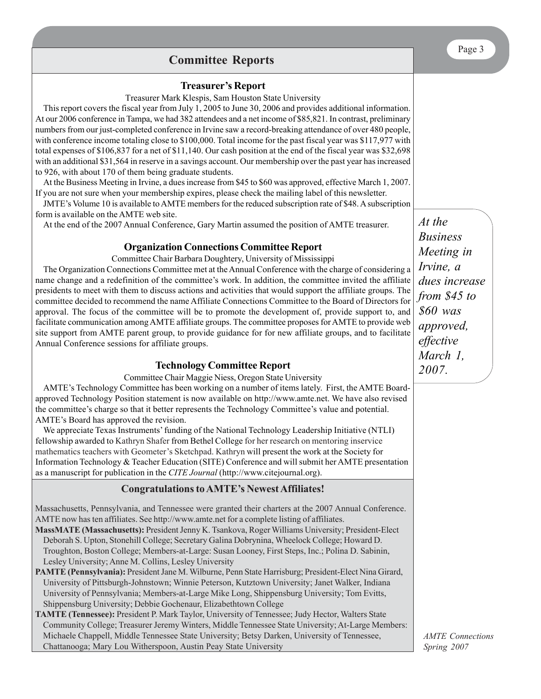# **Committee Reports**

# **Treasurer's Report**

Treasurer Mark Klespis, Sam Houston State University

This report covers the fiscal year from July 1, 2005 to June 30, 2006 and provides additional information. At our 2006 conference in Tampa, we had 382 attendees and a net income of \$85,821. In contrast, preliminary numbers from our just-completed conference in Irvine saw a record-breaking attendance of over 480 people, with conference income totaling close to \$100,000. Total income for the past fiscal year was \$117,977 with total expenses of \$106,837 for a net of \$11,140. Our cash position at the end of the fiscal year was \$32,698 with an additional \$31,564 in reserve in a savings account. Our membership over the past year has increased to 926, with about 170 of them being graduate students.

At the Business Meeting in Irvine, a dues increase from \$45 to \$60 was approved, effective March 1, 2007. If you are not sure when your membership expires, please check the mailing label of this newsletter.

JMTE's Volume 10 is available to AMTE members for the reduced subscription rate of \$48. A subscription form is available on the AMTE web site.

At the end of the 2007 Annual Conference, Gary Martin assumed the position of AMTE treasurer.

## **Organization Connections Committee Report**

Committee Chair Barbara Doughtery, University of Mississippi

The Organization Connections Committee met at the Annual Conference with the charge of considering a name change and a redefinition of the committee's work. In addition, the committee invited the affiliate presidents to meet with them to discuss actions and activities that would support the affiliate groups. The committee decided to recommend the name Affiliate Connections Committee to the Board of Directors for approval. The focus of the committee will be to promote the development of, provide support to, and facilitate communication among AMTE affiliate groups. The committee proposes for AMTE to provide web site support from AMTE parent group, to provide guidance for for new affiliate groups, and to facilitate Annual Conference sessions for affiliate groups.

## **Technology Committee Report**

Committee Chair Maggie Niess, Oregon State University

AMTE's Technology Committee has been working on a number of items lately. First, the AMTE Boardapproved Technology Position statement is now available on http://www.amte.net. We have also revised the committee's charge so that it better represents the Technology Committee's value and potential. AMTE's Board has approved the revision.

We appreciate Texas Instruments' funding of the National Technology Leadership Initiative (NTLI) fellowship awarded to Kathryn Shafer from Bethel College for her research on mentoring inservice mathematics teachers with Geometer's Sketchpad. Kathryn will present the work at the Society for Information Technology & Teacher Education (SITE) Conference and will submit her AMTE presentation as a manuscript for publication in the *CITE Journal* (http://www.citejournal.org).

## **Congratulations to AMTE's Newest Affiliates!**

Massachusetts, Pennsylvania, and Tennessee were granted their charters at the 2007 Annual Conference. AMTE now has ten affiliates. See http://www.amte.net for a complete listing of affiliates.

**MassMATE (Massachusetts):** President Jenny K. Tsankova, Roger Williams University; President-Elect Deborah S. Upton, Stonehill College; Secretary Galina Dobrynina, Wheelock College; Howard D. Troughton, Boston College; Members-at-Large: Susan Looney, First Steps, Inc.; Polina D. Sabinin, Lesley University; Anne M. Collins, Lesley University

**PAMTE (Pennsylvania):** President Jane M. Wilburne, Penn State Harrisburg; President-Elect Nina Girard, University of Pittsburgh-Johnstown; Winnie Peterson, Kutztown University; Janet Walker, Indiana University of Pennsylvania; Members-at-Large Mike Long, Shippensburg University; Tom Evitts, Shippensburg University; Debbie Gochenaur, Elizabethtown College

**TAMTE (Tennessee):** President P. Mark Taylor, University of Tennessee; Judy Hector, Walters State Community College; Treasurer Jeremy Winters, Middle Tennessee State University; At-Large Members: Michaele Chappell, Middle Tennessee State University; Betsy Darken, University of Tennessee, Chattanooga; Mary Lou Witherspoon, Austin Peay State University

*At the Business Meeting in Irvine, a dues increase from \$45 to \$60 was approved, effective March 1, 2007.*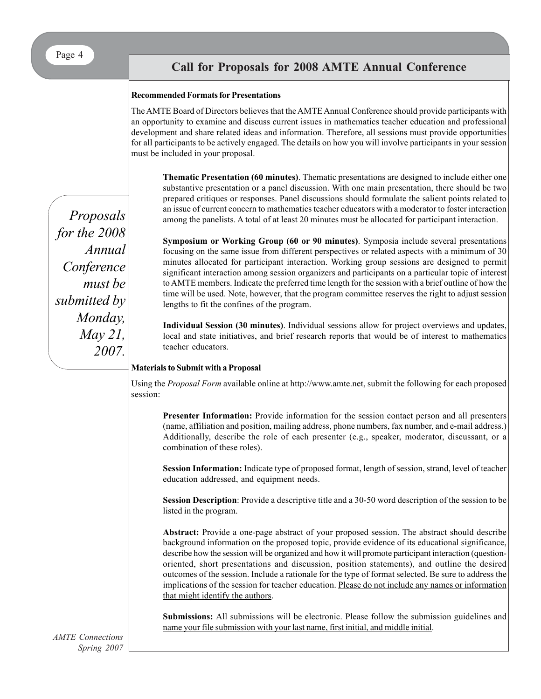# **Call for Proposals for 2008 Annual Conference Call for Proposals for 2008 AMTE Annual Conference**

#### **Recommended Formats for Presentations**

The AMTE Board of Directors believes that the AMTE Annual Conference should provide participants with an opportunity to examine and discuss current issues in mathematics teacher education and professional development and share related ideas and information. Therefore, all sessions must provide opportunities for all participants to be actively engaged. The details on how you will involve participants in your session must be included in your proposal.

**Thematic Presentation (60 minutes)**. Thematic presentations are designed to include either one substantive presentation or a panel discussion. With one main presentation, there should be two prepared critiques or responses. Panel discussions should formulate the salient points related to an issue of current concern to mathematics teacher educators with a moderator to foster interaction among the panelists. A total of at least 20 minutes must be allocated for participant interaction.

**Symposium or Working Group (60 or 90 minutes)**. Symposia include several presentations focusing on the same issue from different perspectives or related aspects with a minimum of 30 minutes allocated for participant interaction. Working group sessions are designed to permit significant interaction among session organizers and participants on a particular topic of interest to AMTE members. Indicate the preferred time length for the session with a brief outline of how the time will be used. Note, however, that the program committee reserves the right to adjust session lengths to fit the confines of the program.

**Individual Session (30 minutes)**. Individual sessions allow for project overviews and updates, local and state initiatives, and brief research reports that would be of interest to mathematics teacher educators.

#### **Materials to Submit with a Proposal**

Using the *Proposal Form* available online at http://www.amte.net, submit the following for each proposed session:

**Presenter Information:** Provide information for the session contact person and all presenters (name, affiliation and position, mailing address, phone numbers, fax number, and e-mail address.) Additionally, describe the role of each presenter (e.g., speaker, moderator, discussant, or a combination of these roles).

**Session Information:** Indicate type of proposed format, length of session, strand, level of teacher education addressed, and equipment needs.

**Session Description**: Provide a descriptive title and a 30-50 word description of the session to be listed in the program.

**Abstract:** Provide a one-page abstract of your proposed session. The abstract should describe background information on the proposed topic, provide evidence of its educational significance, describe how the session will be organized and how it will promote participant interaction (questionoriented, short presentations and discussion, position statements), and outline the desired outcomes of the session. Include a rationale for the type of format selected. Be sure to address the implications of the session for teacher education. Please do not include any names or information that might identify the authors.

**Submissions:** All submissions will be electronic. Please follow the submission guidelines and name your file submission with your last name, first initial, and middle initial.

*Proposals for the 2008 Annual Conference must be submitted by Monday, May 21, 2007.*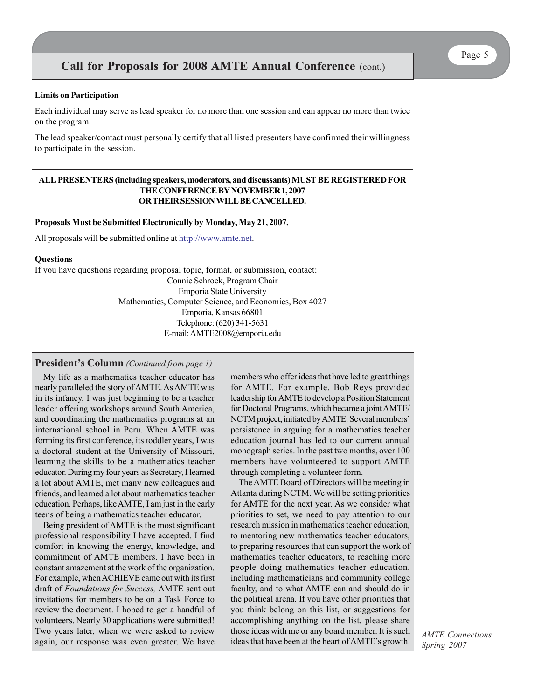# **Call for Proposals for 2008 AMTE Annual Conference** (cont.)

#### **Limits on Participation**

Each individual may serve as lead speaker for no more than one session and can appear no more than twice on the program.

The lead speaker/contact must personally certify that all listed presenters have confirmed their willingness to participate in the session.

#### **ALL PRESENTERS (including speakers, moderators, and discussants) MUST BE REGISTERED FOR THE CONFERENCE BY NOVEMBER 1, 2007 OR THEIR SESSION WILL BE CANCELLED.**

#### **Proposals Must be Submitted Electronically by Monday, May 21, 2007.**

All proposals will be submitted online at http://www.amte.net.

#### **Questions**

If you have questions regarding proposal topic, format, or submission, contact: Connie Schrock, Program Chair Emporia State University Mathematics, Computer Science, and Economics, Box 4027 Emporia, Kansas 66801 Telephone: (620) 341-5631 E-mail: AMTE2008@emporia.edu

#### **President's Column** *(Continued from page 1)*

My life as a mathematics teacher educator has nearly paralleled the story of AMTE. As AMTE was in its infancy, I was just beginning to be a teacher leader offering workshops around South America, and coordinating the mathematics programs at an international school in Peru. When AMTE was forming its first conference, its toddler years, I was a doctoral student at the University of Missouri, learning the skills to be a mathematics teacher educator. During my four years as Secretary, I learned a lot about AMTE, met many new colleagues and friends, and learned a lot about mathematics teacher education. Perhaps, like AMTE, I am just in the early teens of being a mathematics teacher educator.

Being president of AMTE is the most significant professional responsibility I have accepted. I find comfort in knowing the energy, knowledge, and commitment of AMTE members. I have been in constant amazement at the work of the organization. For example, when ACHIEVE came out with its first draft of *Foundations for Success,* AMTE sent out invitations for members to be on a Task Force to review the document. I hoped to get a handful of volunteers. Nearly 30 applications were submitted! Two years later, when we were asked to review again, our response was even greater. We have members who offer ideas that have led to great things for AMTE. For example, Bob Reys provided leadership for AMTE to develop a Position Statement for Doctoral Programs, which became a joint AMTE/ NCTM project, initiated by AMTE. Several members' persistence in arguing for a mathematics teacher education journal has led to our current annual monograph series. In the past two months, over 100 members have volunteered to support AMTE through completing a volunteer form.

The AMTE Board of Directors will be meeting in Atlanta during NCTM. We will be setting priorities for AMTE for the next year. As we consider what priorities to set, we need to pay attention to our research mission in mathematics teacher education, to mentoring new mathematics teacher educators, to preparing resources that can support the work of mathematics teacher educators, to reaching more people doing mathematics teacher education, including mathematicians and community college faculty, and to what AMTE can and should do in the political arena. If you have other priorities that you think belong on this list, or suggestions for accomplishing anything on the list, please share those ideas with me or any board member. It is such ideas that have been at the heart of AMTE's growth.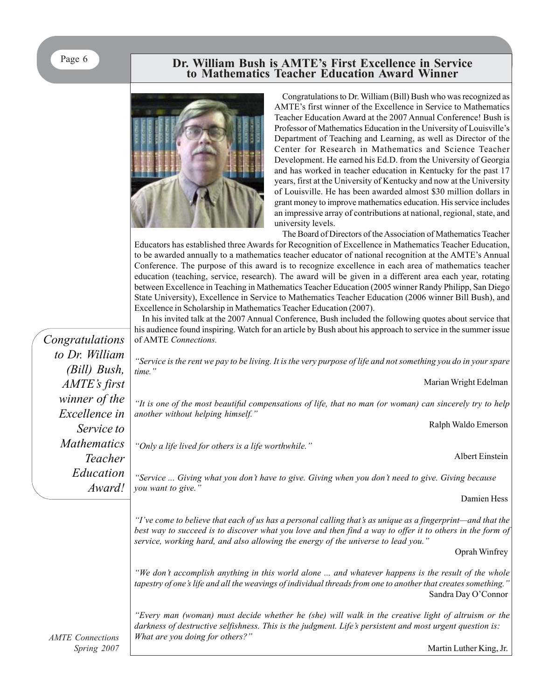# **Dr. William Bush is AMTE's First Excellence in Service to Mathematics Teacher Education Award Winner**



Congratulations to Dr. William (Bill) Bush who was recognized as AMTE's first winner of the Excellence in Service to Mathematics Teacher Education Award at the 2007 Annual Conference! Bush is Professor of Mathematics Education in the University of Louisville's Department of Teaching and Learning, as well as Director of the Center for Research in Mathematics and Science Teacher Development. He earned his Ed.D. from the University of Georgia and has worked in teacher education in Kentucky for the past 17 years, first at the University of Kentucky and now at the University of Louisville. He has been awarded almost \$30 million dollars in grant money to improve mathematics education. His service includes an impressive array of contributions at national, regional, state, and university levels.

The Board of Directors of the Association of Mathematics Teacher Educators has established three Awards for Recognition of Excellence in Mathematics Teacher Education, to be awarded annually to a mathematics teacher educator of national recognition at the AMTE's Annual Conference. The purpose of this award is to recognize excellence in each area of mathematics teacher education (teaching, service, research). The award will be given in a different area each year, rotating between Excellence in Teaching in Mathematics Teacher Education (2005 winner Randy Philipp, San Diego State University), Excellence in Service to Mathematics Teacher Education (2006 winner Bill Bush), and Excellence in Scholarship in Mathematics Teacher Education (2007).

In his invited talk at the 2007 Annual Conference, Bush included the following quotes about service that his audience found inspiring. Watch for an article by Bush about his approach to service in the summer issue of AMTE *Connections.*

*"Service is the rent we pay to be living. It is the very purpose of life and not something you do in your spare*

rian Wright Edelman

*sincerely try to help* 

alph Waldo Emerson

Albert Einstein

Giving because

Damien Hess

*"I've come to believe that each of us has a personal calling that's as unique as a fingerprint—and that the best way to succeed is to discover what you love and then find a way to offer it to others in the form of service, working hard, and also allowing the energy of the universe to lead you."*

Oprah Winfrey

*"We don't accomplish anything in this world alone ... and whatever happens is the result of the whole tapestry of one's life and all the weavings of individual threads from one to another that creates something."* Sandra Day O'Connor

*"Every man (woman) must decide whether he (she) will walk in the creative light of altruism or the darkness of destructive selfishness. This is the judgment. Life's persistent and most urgent question is: What are you doing for others?"*

|                    | ins additional moduli inspiring, watch for all article by Bush about his approach to service                                                                                                                                                                           |  |  |  |
|--------------------|------------------------------------------------------------------------------------------------------------------------------------------------------------------------------------------------------------------------------------------------------------------------|--|--|--|
| Congratulations    | of AMTE Connections.                                                                                                                                                                                                                                                   |  |  |  |
| to Dr. William     | "Service is the rent we pay to be living. It is the very purpose of life and not something                                                                                                                                                                             |  |  |  |
| (Bill) Bush,       | time."                                                                                                                                                                                                                                                                 |  |  |  |
| AMTE's first       | Mai                                                                                                                                                                                                                                                                    |  |  |  |
| winner of the      | "It is one of the most beautiful compensations of life, that no man (or woman) can                                                                                                                                                                                     |  |  |  |
| Excellence in      | another without helping himself."                                                                                                                                                                                                                                      |  |  |  |
| Service to         | $R_{\delta}$                                                                                                                                                                                                                                                           |  |  |  |
| <b>Mathematics</b> | "Only a life lived for others is a life worthwhile."                                                                                                                                                                                                                   |  |  |  |
| Teacher            |                                                                                                                                                                                                                                                                        |  |  |  |
| Education          | "Service  Giving what you don't have to give. Giving when you don't need to give.                                                                                                                                                                                      |  |  |  |
| Award!             | you want to give."                                                                                                                                                                                                                                                     |  |  |  |
|                    |                                                                                                                                                                                                                                                                        |  |  |  |
|                    | "I've come to believe that each of us has a personal calling that's as unique as a finge<br>best way to succeed is to discover what you love and then find a way to offer it to a<br>service, working hard, and also allowing the energy of the universe to lead you." |  |  |  |
|                    |                                                                                                                                                                                                                                                                        |  |  |  |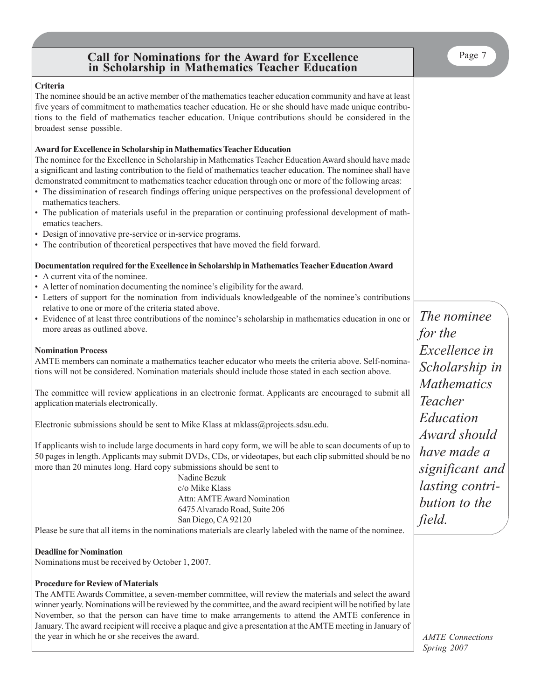# **Call for Nominations for the Award for Excellence in Scholarship in Mathematics Teacher Education**

The nominee should be an active member of the mathematics teacher education community and have at least five years of commitment to mathematics teacher education. He or she should have made unique contributions to the field of mathematics teacher education. Unique contributions should be considered in the broadest sense possible.

## **Award for Excellence in Scholarship in Mathematics Teacher Education**

The nominee for the Excellence in Scholarship in Mathematics Teacher Education Award should have made a significant and lasting contribution to the field of mathematics teacher education. The nominee shall have demonstrated commitment to mathematics teacher education through one or more of the following areas:

- The dissimination of research findings offering unique perspectives on the professional development of mathematics teachers.
- The publication of materials useful in the preparation or continuing professional development of mathematics teachers.
- Design of innovative pre-service or in-service programs.
- The contribution of theoretical perspectives that have moved the field forward.

## **Documentation required for the Excellence in Scholarship in Mathematics Teacher Education Award**

- A current vita of the nominee.
- A letter of nomination documenting the nominee's eligibility for the award.
- Letters of support for the nomination from individuals knowledgeable of the nominee's contributions relative to one or more of the criteria stated above.
- Evidence of at least three contributions of the nominee's scholarship in mathematics education in one or more areas as outlined above.

#### **Nomination Process**

AMTE members can nominate a mathematics teacher educator who meets the criteria above. Self-nominations will not be considered. Nomination materials should include those stated in each section above.

The committee will review applications in an electronic format. Applicants are encouraged to submit all application materials electronically.

Electronic submissions should be sent to Mike Klass at mklass@projects.sdsu.edu.

If applicants wish to include large documents in hard copy form, we will be able to scan documents of up to 50 pages in length. Applicants may submit DVDs, CDs, or videotapes, but each clip submitted should be no more than 20 minutes long. Hard copy submissions should be sent to

> Nadine Bezuk c/o Mike Klass Attn: AMTE Award Nomination 6475 Alvarado Road, Suite 206 San Diego, CA 92120

Please be sure that all items in the nominations materials are clearly labeled with the name of the nominee.

#### **Deadline for Nomination**

Nominations must be received by October 1, 2007.

# **Procedure for Review of Materials**

The AMTE Awards Committee, a seven-member committee, will review the materials and select the award winner yearly. Nominations will be reviewed by the committee, and the award recipient will be notified by late November, so that the person can have time to make arrangements to attend the AMTE conference in January. The award recipient will receive a plaque and give a presentation at the AMTE meeting in January of the year in which he or she receives the award.

*The nominee for the Excellence in Scholarship in Mathematics Teacher Education Award should have made a significant and lasting contribution to the field.*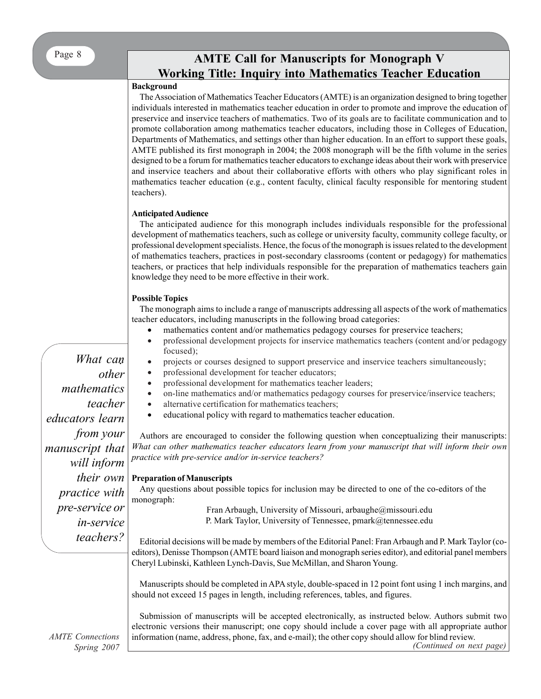# **AMTE Call for Manuscripts for Monograph V Working Title: Inquiry into Mathematics Teacher Education**

## **Background**

The Association of Mathematics Teacher Educators (AMTE) is an organization designed to bring together individuals interested in mathematics teacher education in order to promote and improve the education of preservice and inservice teachers of mathematics. Two of its goals are to facilitate communication and to promote collaboration among mathematics teacher educators, including those in Colleges of Education, Departments of Mathematics, and settings other than higher education. In an effort to support these goals, AMTE published its first monograph in 2004; the 2008 monograph will be the fifth volume in the series designed to be a forum for mathematics teacher educators to exchange ideas about their work with preservice and inservice teachers and about their collaborative efforts with others who play significant roles in mathematics teacher education (e.g., content faculty, clinical faculty responsible for mentoring student teachers).

## **Anticipated Audience**

The anticipated audience for this monograph includes individuals responsible for the professional development of mathematics teachers, such as college or university faculty, community college faculty, or professional development specialists. Hence, the focus of the monograph is issues related to the development of mathematics teachers, practices in post-secondary classrooms (content or pedagogy) for mathematics teachers, or practices that help individuals responsible for the preparation of mathematics teachers gain knowledge they need to be more effective in their work.

## **Possible Topics**

The monograph aims to include a range of manuscripts addressing all aspects of the work of mathematics teacher educators, including manuscripts in the following broad categories:

- mathematics content and/or mathematics pedagogy courses for preservice teachers;
- professional development projects for inservice mathematics teachers (content and/or pedagogy focused);
- projects or courses designed to support preservice and inservice teachers simultaneously;
- professional development for teacher educators;
- professional development for mathematics teacher leaders;
- on-line mathematics and/or mathematics pedagogy courses for preservice/inservice teachers;
- alternative certification for mathematics teachers;
- educational policy with regard to mathematics teacher education.

Authors are encouraged to consider the following question when conceptualizing their manuscripts: *What can other mathematics teacher educators learn from your manuscript that will inform their own practice with pre-service and/or in-service teachers?*

## **Preparation of Manuscripts**

Any questions about possible topics for inclusion may be directed to one of the co-editors of the monograph:

Fran Arbaugh, University of Missouri, arbaughe@missouri.edu P. Mark Taylor, University of Tennessee, pmark@tennessee.edu

Editorial decisions will be made by members of the Editorial Panel: Fran Arbaugh and P. Mark Taylor (coeditors), Denisse Thompson (AMTE board liaison and monograph series editor), and editorial panel members Cheryl Lubinski, Kathleen Lynch-Davis, Sue McMillan, and Sharon Young.

Manuscripts should be completed in APA style, double-spaced in 12 point font using 1 inch margins, and should not exceed 15 pages in length, including references, tables, and figures.

Submission of manuscripts will be accepted electronically, as instructed below. Authors submit two electronic versions their manuscript; one copy should include a cover page with all appropriate author information (name, address, phone, fax, and e-mail); the other copy should allow for blind review. *(Continued on next page)*

*. What can other mathematics teacher educators learn from your manuscript that will inform their own practice with pre-service or in-service teachers?*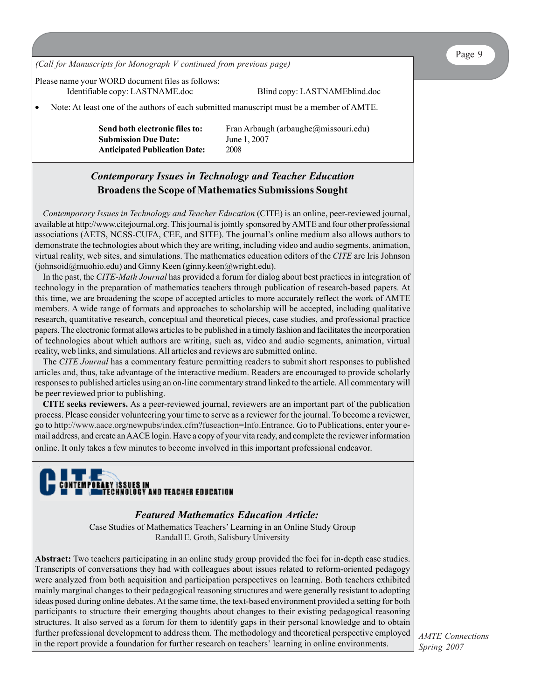*(Call for Manuscripts for Monograph V continued from previous page)*

Please name your WORD document files as follows:

Identifiable copy: LASTNAME.doc Blind copy: LASTNAMEblind.doc

• Note: At least one of the authors of each submitted manuscript must be a member of AMTE.

**Send both electronic files to:** Fran Arbaugh (arbaughe@missouri.edu) **Submission Due Date:** June 1, 2007 **Anticipated Publication Date:** 2008

# *Contemporary Issues in Technology and Teacher Education* **Broadens the Scope of Mathematics Submissions Sought**

*Contemporary Issues in Technology and Teacher Education* (CITE) is an online, peer-reviewed journal, available at http://www.citejournal.org. This journal is jointly sponsored by AMTE and four other professional associations (AETS, NCSS-CUFA, CEE, and SITE). The journal's online medium also allows authors to demonstrate the technologies about which they are writing, including video and audio segments, animation, virtual reality, web sites, and simulations. The mathematics education editors of the *CITE* are Iris Johnson (johnsoid@muohio.edu) and Ginny Keen (ginny.keen@wright.edu).

In the past, the *CITE-Math Journal* has provided a forum for dialog about best practices in integration of technology in the preparation of mathematics teachers through publication of research-based papers. At this time, we are broadening the scope of accepted articles to more accurately reflect the work of AMTE members. A wide range of formats and approaches to scholarship will be accepted, including qualitative research, quantitative research, conceptual and theoretical pieces, case studies, and professional practice papers. The electronic format allows articles to be published in a timely fashion and facilitates the incorporation of technologies about which authors are writing, such as, video and audio segments, animation, virtual reality, web links, and simulations. All articles and reviews are submitted online.

The *CITE Journal* has a commentary feature permitting readers to submit short responses to published articles and, thus, take advantage of the interactive medium. Readers are encouraged to provide scholarly responses to published articles using an on-line commentary strand linked to the article. All commentary will be peer reviewed prior to publishing.

**CITE seeks reviewers.** As a peer-reviewed journal, reviewers are an important part of the publication process. Please consider volunteering your time to serve as a reviewer for the journal. To become a reviewer, go to http://www.aace.org/newpubs/index.cfm?fuseaction=Info.Entrance. Go to Publications, enter your email address, and create an AACE login. Have a copy of your vita ready, and complete the reviewer information online. It only takes a few minutes to become involved in this important professional endeavor.

# CONTEMPORARY ISSUES IN<br>The theory older and teacher education

# *Featured Mathematics Education Article:*

Case Studies of Mathematics Teachers' Learning in an Online Study Group Randall E. Groth, Salisbury University

**Abstract:** Two teachers participating in an online study group provided the foci for in-depth case studies. Transcripts of conversations they had with colleagues about issues related to reform-oriented pedagogy were analyzed from both acquisition and participation perspectives on learning. Both teachers exhibited mainly marginal changes to their pedagogical reasoning structures and were generally resistant to adopting ideas posed during online debates. At the same time, the text-based environment provided a setting for both participants to structure their emerging thoughts about changes to their existing pedagogical reasoning structures. It also served as a forum for them to identify gaps in their personal knowledge and to obtain further professional development to address them. The methodology and theoretical perspective employed in the report provide a foundation for further research on teachers' learning in online environments.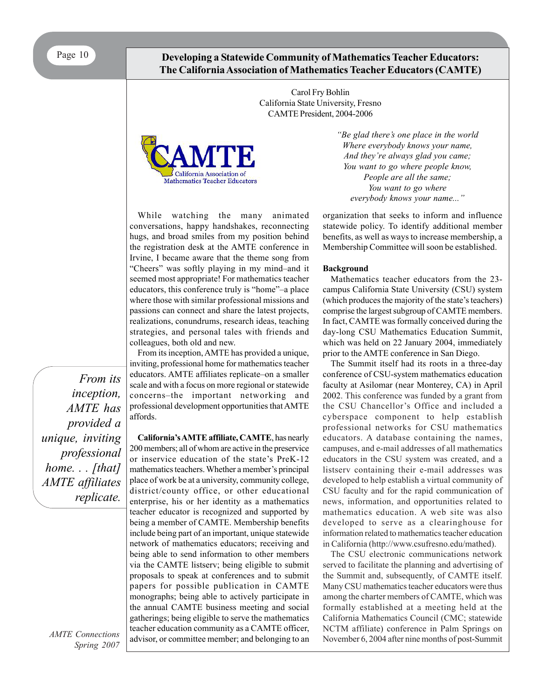Page 10 **Developing a Statewide Community of Mathematics Teacher Educators: The California Association of Mathematics Teacher Educators (CAMTE)**

> Carol Fry Bohlin California State University, Fresno CAMTE President, 2004-2006



While watching the many animated conversations, happy handshakes, reconnecting hugs, and broad smiles from my position behind the registration desk at the AMTE conference in Irvine, I became aware that the theme song from "Cheers" was softly playing in my mind–and it seemed most appropriate! For mathematics teacher educators, this conference truly is "home"–a place where those with similar professional missions and passions can connect and share the latest projects, realizations, conundrums, research ideas, teaching strategies, and personal tales with friends and colleagues, both old and new.

From its inception, AMTE has provided a unique, inviting, professional home for mathematics teacher educators. AMTE affiliates replicate–on a smaller scale and with a focus on more regional or statewide concerns–the important networking and professional development opportunities that AMTE affords.

**California's AMTE affiliate, CAMTE**, has nearly 200 members; all of whom are active in the preservice or inservice education of the state's PreK-12 mathematics teachers. Whether a member's principal place of work be at a university, community college, district/county office, or other educational enterprise, his or her identity as a mathematics teacher educator is recognized and supported by being a member of CAMTE. Membership benefits include being part of an important, unique statewide network of mathematics educators; receiving and being able to send information to other members via the CAMTE listserv; being eligible to submit proposals to speak at conferences and to submit papers for possible publication in CAMTE monographs; being able to actively participate in the annual CAMTE business meeting and social gatherings; being eligible to serve the mathematics teacher education community as a CAMTE officer, advisor, or committee member; and belonging to an *"Be glad there's one place in the world Where everybody knows your name, And they're always glad you came; You want to go where people know, People are all the same; You want to go where everybody knows your name..."*

organization that seeks to inform and influence statewide policy. To identify additional member benefits, as well as ways to increase membership, a Membership Committee will soon be established.

#### **Background**

Mathematics teacher educators from the 23 campus California State University (CSU) system (which produces the majority of the state's teachers) comprise the largest subgroup of CAMTE members. In fact, CAMTE was formally conceived during the day-long CSU Mathematics Education Summit, which was held on 22 January 2004, immediately prior to the AMTE conference in San Diego.

The Summit itself had its roots in a three-day conference of CSU-system mathematics education faculty at Asilomar (near Monterey, CA) in April 2002. This conference was funded by a grant from the CSU Chancellor's Office and included a cyberspace component to help establish professional networks for CSU mathematics educators. A database containing the names, campuses, and e-mail addresses of all mathematics educators in the CSU system was created, and a listserv containing their e-mail addresses was developed to help establish a virtual community of CSU faculty and for the rapid communication of news, information, and opportunities related to mathematics education. A web site was also developed to serve as a clearinghouse for information related to mathematics teacher education in California (http://www.csufresno.edu/mathed).

The CSU electronic communications network served to facilitate the planning and advertising of the Summit and, subsequently, of CAMTE itself. Many CSU mathematics teacher educators were thus among the charter members of CAMTE, which was formally established at a meeting held at the California Mathematics Council (CMC; statewide NCTM affiliate) conference in Palm Springs on November 6, 2004 after nine months of post-Summit

*From its inception, AMTE has provided a unique, inviting professional home. . . [that] AMTE affiliates replicate.*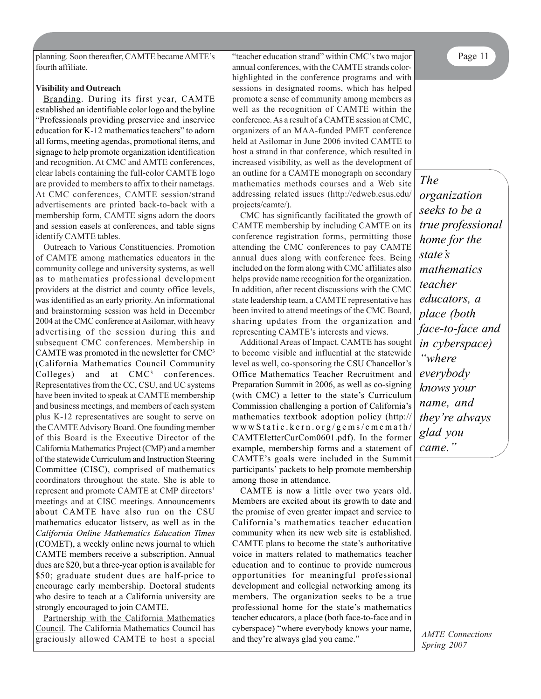planning. Soon thereafter, CAMTE became AMTE's "teacher education strand" within CMC's two major Page 11 fourth affiliate.

#### **Visibility and Outreach**

Branding. During its first year, CAMTE established an identifiable color logo and the byline "Professionals providing preservice and inservice education for K-12 mathematics teachers" to adorn all forms, meeting agendas, promotional items, and signage to help promote organization identification and recognition. At CMC and AMTE conferences, clear labels containing the full-color CAMTE logo are provided to members to affix to their nametags. At CMC conferences, CAMTE session/strand advertisements are printed back-to-back with a membership form, CAMTE signs adorn the doors and session easels at conferences, and table signs identify CAMTE tables.

Outreach to Various Constituencies. Promotion of CAMTE among mathematics educators in the community college and university systems, as well as to mathematics professional development providers at the district and county office levels, was identified as an early priority. An informational and brainstorming session was held in December 2004 at the CMC conference at Asilomar, with heavy advertising of the session during this and subsequent CMC conferences. Membership in CAMTE was promoted in the newsletter for CMC3 (California Mathematics Council Community Colleges) and at CMC<sup>3</sup> conferences. Representatives from the CC, CSU, and UC systems have been invited to speak at CAMTE membership and business meetings, and members of each system plus K-12 representatives are sought to serve on the CAMTE Advisory Board. One founding member of this Board is the Executive Director of the California Mathematics Project (CMP) and a member of the statewide Curriculum and Instruction Steering Committee (CISC), comprised of mathematics coordinators throughout the state. She is able to represent and promote CAMTE at CMP directors' meetings and at CISC meetings. Announcements about CAMTE have also run on the CSU mathematics educator listserv, as well as in the *California Online Mathematics Education Times* (COMET), a weekly online news journal to which CAMTE members receive a subscription. Annual dues are \$20, but a three-year option is available for \$50; graduate student dues are half-price to encourage early membership. Doctoral students who desire to teach at a California university are strongly encouraged to join CAMTE.

Partnership with the California Mathematics Council. The California Mathematics Council has graciously allowed CAMTE to host a special

annual conferences, with the CAMTE strands colorhighlighted in the conference programs and with sessions in designated rooms, which has helped promote a sense of community among members as well as the recognition of CAMTE within the conference. As a result of a CAMTE session at CMC, organizers of an MAA-funded PMET conference held at Asilomar in June 2006 invited CAMTE to host a strand in that conference, which resulted in increased visibility, as well as the development of an outline for a CAMTE monograph on secondary mathematics methods courses and a Web site addressing related issues (http://edweb.csus.edu/ projects/camte/).

CMC has significantly facilitated the growth of CAMTE membership by including CAMTE on its conference registration forms, permitting those attending the CMC conferences to pay CAMTE annual dues along with conference fees. Being included on the form along with CMC affiliates also helps provide name recognition for the organization. In addition, after recent discussions with the CMC state leadership team, a CAMTE representative has been invited to attend meetings of the CMC Board, sharing updates from the organization and representing CAMTE's interests and views.

Additional Areas of Impact. CAMTE has sought to become visible and influential at the statewide level as well, co-sponsoring the CSU Chancellor's Office Mathematics Teacher Recruitment and Preparation Summit in 2006, as well as co-signing (with CMC) a letter to the state's Curriculum Commission challenging a portion of California's mathematics textbook adoption policy (http:// wwwStatic.kern.org/gems/cmcmath/ CAMTEletterCurCom0601.pdf). In the former example, membership forms and a statement of CAMTE's goals were included in the Summit participants' packets to help promote membership among those in attendance.

CAMTE is now a little over two years old. Members are excited about its growth to date and the promise of even greater impact and service to California's mathematics teacher education community when its new web site is established. CAMTE plans to become the state's authoritative voice in matters related to mathematics teacher education and to continue to provide numerous opportunities for meaningful professional development and collegial networking among its members. The organization seeks to be a true professional home for the state's mathematics teacher educators, a place (both face-to-face and in cyberspace) "where everybody knows your name, and they're always glad you came."

*The organization seeks to be a true professional home for the state's mathematics teacher educators, a place (both face-to-face and in cyberspace) "where everybody knows your name, and they're always glad you came."*